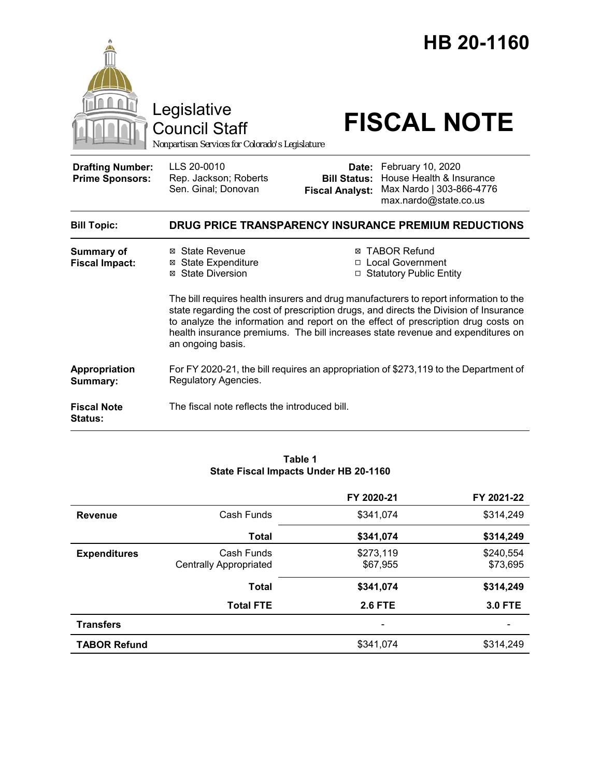

**Status:**

#### **Table 1 State Fiscal Impacts Under HB 20-1160**

|                     |                                             | FY 2020-21               | FY 2021-22            |
|---------------------|---------------------------------------------|--------------------------|-----------------------|
| <b>Revenue</b>      | Cash Funds                                  | \$341,074                | \$314,249             |
|                     | <b>Total</b>                                | \$341,074                | \$314,249             |
| <b>Expenditures</b> | Cash Funds<br><b>Centrally Appropriated</b> | \$273,119<br>\$67,955    | \$240,554<br>\$73,695 |
|                     | <b>Total</b>                                | \$341,074                | \$314,249             |
|                     | <b>Total FTE</b>                            | <b>2.6 FTE</b>           | <b>3.0 FTE</b>        |
| <b>Transfers</b>    |                                             | $\overline{\phantom{a}}$ |                       |
| <b>TABOR Refund</b> |                                             | \$341,074                | \$314,249             |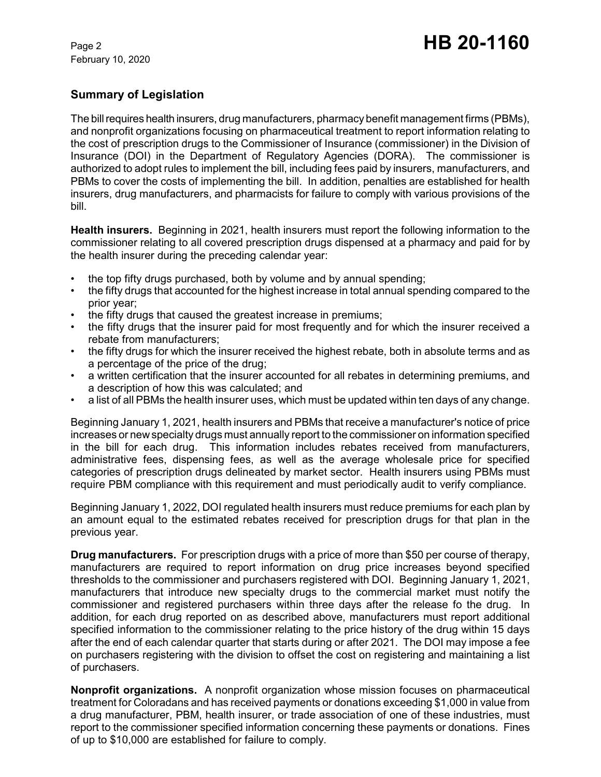February 10, 2020

# **Summary of Legislation**

The bill requires health insurers, drug manufacturers, pharmacy benefit management firms (PBMs), and nonprofit organizations focusing on pharmaceutical treatment to report information relating to the cost of prescription drugs to the Commissioner of Insurance (commissioner) in the Division of Insurance (DOI) in the Department of Regulatory Agencies (DORA). The commissioner is authorized to adopt rules to implement the bill, including fees paid by insurers, manufacturers, and PBMs to cover the costs of implementing the bill. In addition, penalties are established for health insurers, drug manufacturers, and pharmacists for failure to comply with various provisions of the bill.

**Health insurers.** Beginning in 2021, health insurers must report the following information to the commissioner relating to all covered prescription drugs dispensed at a pharmacy and paid for by the health insurer during the preceding calendar year:

- the top fifty drugs purchased, both by volume and by annual spending;
- the fifty drugs that accounted for the highest increase in total annual spending compared to the prior year;
- the fifty drugs that caused the greatest increase in premiums:
- the fifty drugs that the insurer paid for most frequently and for which the insurer received a rebate from manufacturers;
- the fifty drugs for which the insurer received the highest rebate, both in absolute terms and as a percentage of the price of the drug;
- a written certification that the insurer accounted for all rebates in determining premiums, and a description of how this was calculated; and
- a list of all PBMs the health insurer uses, which must be updated within ten days of any change.

Beginning January 1, 2021, health insurers and PBMs that receive a manufacturer's notice of price increases or new specialty drugs must annually report to the commissioner on information specified in the bill for each drug. This information includes rebates received from manufacturers, administrative fees, dispensing fees, as well as the average wholesale price for specified categories of prescription drugs delineated by market sector. Health insurers using PBMs must require PBM compliance with this requirement and must periodically audit to verify compliance.

Beginning January 1, 2022, DOI regulated health insurers must reduce premiums for each plan by an amount equal to the estimated rebates received for prescription drugs for that plan in the previous year.

**Drug manufacturers.** For prescription drugs with a price of more than \$50 per course of therapy, manufacturers are required to report information on drug price increases beyond specified thresholds to the commissioner and purchasers registered with DOI. Beginning January 1, 2021, manufacturers that introduce new specialty drugs to the commercial market must notify the commissioner and registered purchasers within three days after the release fo the drug. In addition, for each drug reported on as described above, manufacturers must report additional specified information to the commissioner relating to the price history of the drug within 15 days after the end of each calendar quarter that starts during or after 2021. The DOI may impose a fee on purchasers registering with the division to offset the cost on registering and maintaining a list of purchasers.

**Nonprofit organizations.** A nonprofit organization whose mission focuses on pharmaceutical treatment for Coloradans and has received payments or donations exceeding \$1,000 in value from a drug manufacturer, PBM, health insurer, or trade association of one of these industries, must report to the commissioner specified information concerning these payments or donations. Fines of up to \$10,000 are established for failure to comply.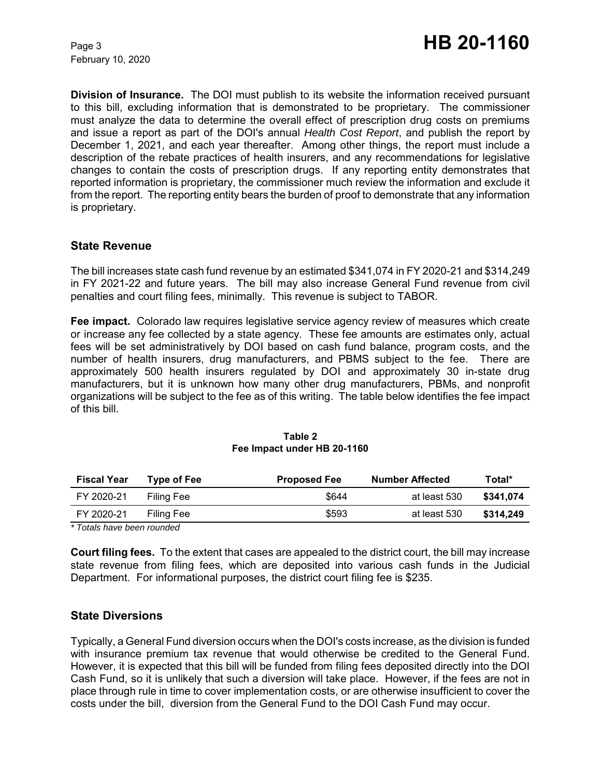February 10, 2020

**Division of Insurance.** The DOI must publish to its website the information received pursuant to this bill, excluding information that is demonstrated to be proprietary. The commissioner must analyze the data to determine the overall effect of prescription drug costs on premiums and issue a report as part of the DOI's annual *Health Cost Report*, and publish the report by December 1, 2021, and each year thereafter. Among other things, the report must include a description of the rebate practices of health insurers, and any recommendations for legislative changes to contain the costs of prescription drugs. If any reporting entity demonstrates that reported information is proprietary, the commissioner much review the information and exclude it from the report. The reporting entity bears the burden of proof to demonstrate that any information is proprietary.

## **State Revenue**

The bill increases state cash fund revenue by an estimated \$341,074 in FY 2020-21 and \$314,249 in FY 2021-22 and future years. The bill may also increase General Fund revenue from civil penalties and court filing fees, minimally. This revenue is subject to TABOR.

**Fee impact.** Colorado law requires legislative service agency review of measures which create or increase any fee collected by a state agency. These fee amounts are estimates only, actual fees will be set administratively by DOI based on cash fund balance, program costs, and the number of health insurers, drug manufacturers, and PBMS subject to the fee. There are approximately 500 health insurers regulated by DOI and approximately 30 in-state drug manufacturers, but it is unknown how many other drug manufacturers, PBMs, and nonprofit organizations will be subject to the fee as of this writing. The table below identifies the fee impact of this bill.

| <b>Fiscal Year</b> | Type of Fee | <b>Proposed Fee</b> | <b>Number Affected</b> | Total*    |
|--------------------|-------------|---------------------|------------------------|-----------|
| FY 2020-21         | Filing Fee  | \$644               | at least 530           | \$341.074 |
| FY 2020-21         | Filing Fee  | \$593               | at least 530           | \$314.249 |

#### **Table 2 Fee Impact under HB 20-1160**

*\* Totals have been rounded*

**Court filing fees.** To the extent that cases are appealed to the district court, the bill may increase state revenue from filing fees, which are deposited into various cash funds in the Judicial Department. For informational purposes, the district court filing fee is \$235.

## **State Diversions**

Typically, a General Fund diversion occurs when the DOI's costs increase, as the division is funded with insurance premium tax revenue that would otherwise be credited to the General Fund. However, it is expected that this bill will be funded from filing fees deposited directly into the DOI Cash Fund, so it is unlikely that such a diversion will take place. However, if the fees are not in place through rule in time to cover implementation costs, or are otherwise insufficient to cover the costs under the bill, diversion from the General Fund to the DOI Cash Fund may occur.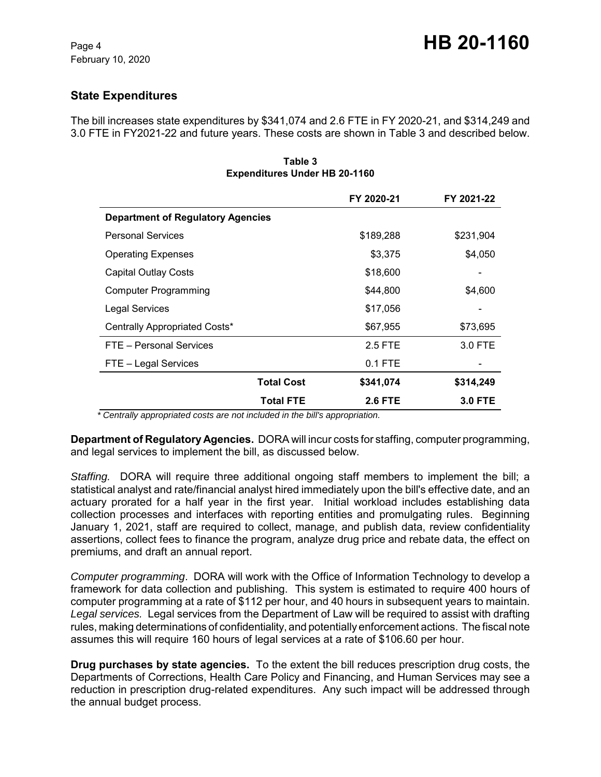# **State Expenditures**

The bill increases state expenditures by \$341,074 and 2.6 FTE in FY 2020-21, and \$314,249 and 3.0 FTE in FY2021-22 and future years. These costs are shown in Table 3 and described below.

|                                          | FY 2020-21     | FY 2021-22     |
|------------------------------------------|----------------|----------------|
| <b>Department of Regulatory Agencies</b> |                |                |
| <b>Personal Services</b>                 | \$189,288      | \$231,904      |
| <b>Operating Expenses</b>                | \$3,375        | \$4,050        |
| <b>Capital Outlay Costs</b>              | \$18,600       |                |
| <b>Computer Programming</b>              | \$44,800       | \$4,600        |
| Legal Services                           | \$17,056       |                |
| Centrally Appropriated Costs*            | \$67,955       | \$73,695       |
| FTE - Personal Services                  | 2.5 FTE        | 3.0 FTE        |
| FTE - Legal Services                     | $0.1$ FTE      |                |
| <b>Total Cost</b>                        | \$341,074      | \$314,249      |
| <b>Total FTE</b>                         | <b>2.6 FTE</b> | <b>3.0 FTE</b> |

**Table 3 Expenditures Under HB 20-1160**

 *\* Centrally appropriated costs are not included in the bill's appropriation.*

**Department of Regulatory Agencies.** DORA will incur costs for staffing, computer programming, and legal services to implement the bill, as discussed below.

*Staffing.* DORA will require three additional ongoing staff members to implement the bill; a statistical analyst and rate/financial analyst hired immediately upon the bill's effective date, and an actuary prorated for a half year in the first year. Initial workload includes establishing data collection processes and interfaces with reporting entities and promulgating rules. Beginning January 1, 2021, staff are required to collect, manage, and publish data, review confidentiality assertions, collect fees to finance the program, analyze drug price and rebate data, the effect on premiums, and draft an annual report.

*Computer programming*. DORA will work with the Office of Information Technology to develop a framework for data collection and publishing. This system is estimated to require 400 hours of computer programming at a rate of \$112 per hour, and 40 hours in subsequent years to maintain. *Legal services.* Legal services from the Department of Law will be required to assist with drafting rules, making determinations of confidentiality, and potentially enforcement actions. The fiscal note assumes this will require 160 hours of legal services at a rate of \$106.60 per hour.

**Drug purchases by state agencies.** To the extent the bill reduces prescription drug costs, the Departments of Corrections, Health Care Policy and Financing, and Human Services may see a reduction in prescription drug-related expenditures. Any such impact will be addressed through the annual budget process.